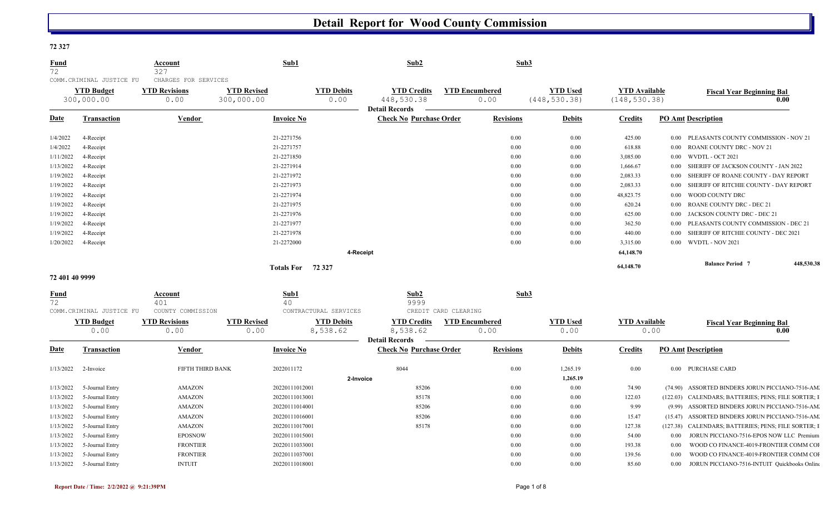#### **72 327**

| <b>Fund</b><br>72                   | COMM.CRIMINAL JUSTICE FU        | Account<br>327<br>CHARGES FOR SERVICES | Sub1                             | Sub2                                                                                   |                               | Sub3                             |                                       |                                                     |
|-------------------------------------|---------------------------------|----------------------------------------|----------------------------------|----------------------------------------------------------------------------------------|-------------------------------|----------------------------------|---------------------------------------|-----------------------------------------------------|
|                                     | <b>YTD Budget</b><br>300,000.00 | <b>YTD Revisions</b><br>0.00           | <b>YTD Revised</b><br>300,000.00 | <b>YTD Debits</b><br><b>YTD Credits</b><br>448,530.38<br>0.00<br><b>Detail Records</b> | <b>YTD Encumbered</b><br>0.00 | <b>YTD Used</b><br>(448, 530.38) | <b>YTD</b> Available<br>(148, 530.38) | <b>Fiscal Year Beginning Bal</b><br>0.00            |
| <b>Date</b>                         | <b>Transaction</b>              | Vendor                                 | <b>Invoice No</b>                | <b>Check No Purchase Order</b>                                                         | <b>Revisions</b>              | <b>Debits</b>                    | <b>Credits</b>                        | <b>PO Amt Description</b>                           |
| 1/4/2022                            | 4-Receipt                       |                                        | 21-2271756                       |                                                                                        |                               | 0.00<br>0.00                     | 425.00                                | 0.00 PLEASANTS COUNTY COMMISSION - NOV 21           |
| 1/4/2022                            | 4-Receipt                       |                                        | 21-2271757                       |                                                                                        |                               | 0.00<br>0.00                     | 618.88                                | ROANE COUNTY DRC - NOV 21<br>$0.00\,$               |
| 1/11/2022                           | 4-Receipt                       |                                        | 21-2271850                       |                                                                                        |                               | 0.00<br>0.00                     | 3,085.00                              | WVDTL - OCT 2021<br>$0.00\,$                        |
| 1/13/2022                           | 4-Receipt                       |                                        | 21-2271914                       |                                                                                        |                               | 0.00<br>0.00                     | 1,666.67                              | SHERIFF OF JACKSON COUNTY - JAN 2022<br>$0.00\,$    |
| 1/19/2022                           | 4-Receipt                       |                                        | 21-2271972                       |                                                                                        |                               | 0.00<br>0.00                     | 2,083.33                              | $0.00\,$<br>SHERIFF OF ROANE COUNTY - DAY REPORT    |
| 1/19/2022                           | 4-Receipt                       |                                        | 21-2271973                       |                                                                                        |                               | 0.00<br>0.00                     | 2,083.33                              | SHERIFF OF RITCHIE COUNTY - DAY REPORT<br>$0.00\,$  |
| 1/19/2022                           | 4-Receipt                       |                                        | 21-2271974                       |                                                                                        |                               | 0.00<br>0.00                     | 48,823.75                             | WOOD COUNTY DRC<br>$0.00\,$                         |
| 1/19/2022                           | 4-Receipt                       |                                        | 21-2271975                       |                                                                                        |                               | 0.00<br>0.00                     | 620.24                                | ROANE COUNTY DRC - DEC 21<br>$0.00\,$               |
| 1/19/2022                           | 4-Receipt                       |                                        | 21-2271976                       |                                                                                        |                               | 0.00<br>0.00                     | 625.00                                | JACKSON COUNTY DRC - DEC 21<br>0.00                 |
| 1/19/2022                           | 4-Receipt                       |                                        | 21-2271977                       |                                                                                        |                               | 0.00<br>0.00                     | 362.50                                | 0.00<br>PLEASANTS COUNTY COMMISSION - DEC 21        |
| 1/19/2022                           | 4-Receipt                       |                                        | 21-2271978                       |                                                                                        |                               | 0.00<br>0.00                     | 440.00                                | SHERIFF OF RITCHIE COUNTY - DEC 2021<br>$0.00\,$    |
| 1/20/2022                           | 4-Receipt                       |                                        | 21-2272000                       |                                                                                        |                               | 0.00<br>0.00                     | 3,315.00                              | 0.00 WVDTL - NOV 2021                               |
|                                     |                                 |                                        |                                  | 4-Receipt                                                                              |                               |                                  | 64,148.70                             |                                                     |
|                                     |                                 |                                        | Totals For 72 327                |                                                                                        |                               |                                  | 64,148.70                             | 448,530.38<br><b>Balance Period 7</b>               |
| 72 401 40 9999                      |                                 |                                        |                                  |                                                                                        |                               |                                  |                                       |                                                     |
| <u>Fund</u>                         |                                 | <b>Account</b>                         | Sub1                             | Sub2                                                                                   |                               | Sub3                             |                                       |                                                     |
| 72                                  | COMM.CRIMINAL JUSTICE FU        | 401<br>COUNTY COMMISSION               | 40                               | 9999<br>CONTRACTURAL SERVICES                                                          | CREDIT CARD CLEARING          |                                  |                                       |                                                     |
|                                     | <b>YTD Budget</b>               | <b>YTD Revisions</b>                   | <b>YTD Revised</b>               | <b>YTD Debits</b><br><b>YTD Credits</b>                                                | <b>YTD Encumbered</b>         | <b>YTD Used</b>                  | <b>YTD</b> Available                  |                                                     |
|                                     | 0.00                            | 0.00                                   | 0.00                             | 8,538.62<br>8,538.62                                                                   | 0.00                          | 0.00                             |                                       | <b>Fiscal Year Beginning Bal</b><br>0.00<br>0.00    |
|                                     |                                 |                                        |                                  | <b>Detail Records</b>                                                                  |                               |                                  |                                       |                                                     |
| <b>Date</b>                         | <b>Transaction</b>              | Vendor                                 | <b>Invoice No</b>                | <b>Check No Purchase Order</b>                                                         | <b>Revisions</b>              | <b>Debits</b>                    | <b>Credits</b>                        | <b>PO Amt Description</b>                           |
| 1/13/2022                           | 2-Invoice                       | FIFTH THIRD BANK                       | 2022011172                       | 8044                                                                                   |                               | 0.00<br>1,265.19                 | 0.00                                  | 0.00 PURCHASE CARD                                  |
|                                     |                                 |                                        |                                  | 2-Invoice                                                                              |                               | 1,265.19                         |                                       |                                                     |
| 1/13/2022                           | 5-Journal Entry                 | <b>AMAZON</b>                          | 20220111012001                   | 85206                                                                                  |                               | 0.00<br>0.00                     | 74.90                                 | (74.90) ASSORTED BINDERS JORUN PICCIANO-7516-AM.    |
| 1/13/2022                           | 5-Journal Entry                 | <b>AMAZON</b>                          | 20220111013001                   | 85178                                                                                  |                               | 0.00<br>0.00                     | 122.03                                | (122.03) CALENDARS; BATTERIES; PENS; FILE SORTER; I |
| 1/13/2022                           | 5-Journal Entry                 | <b>AMAZON</b>                          | 20220111014001                   | 85206                                                                                  |                               | 0.00<br>0.00                     | 9.99                                  | (9.99) ASSORTED BINDERS JORUN PICCIANO-7516-AM.     |
| 1/13/2022                           | 5-Journal Entry                 | <b>AMAZON</b>                          | 20220111016001                   | 85206                                                                                  |                               | 0.00<br>0.00                     | 15.47                                 | (15.47) ASSORTED BINDERS JORUN PICCIANO-7516-AM.    |
|                                     |                                 |                                        |                                  | 85178                                                                                  |                               | 0.00<br>0.00                     | 127.38                                | (127.38) CALENDARS; BATTERIES; PENS; FILE SORTER; I |
|                                     | 5-Journal Entry                 | AMAZON                                 | 20220111017001                   |                                                                                        |                               |                                  |                                       |                                                     |
|                                     | 5-Journal Entry                 | <b>EPOSNOW</b>                         | 20220111015001                   |                                                                                        |                               | 0.00<br>0.00                     | 54.00                                 | 0.00<br>JORUN PICCIANO-7516-EPOS NOW LLC Premium    |
| 1/13/2022<br>1/13/2022<br>1/13/2022 | 5-Journal Entry                 | <b>FRONTIER</b>                        | 20220111033001                   |                                                                                        |                               | 0.00<br>0.00                     | 193.38                                | WOOD CO FINANCE-4019-FRONTIER COMM COI<br>0.00      |
| 1/13/2022                           | 5-Journal Entry                 | <b>FRONTIER</b>                        | 20220111037001                   |                                                                                        |                               | 0.00<br>0.00                     | 139.56                                | WOOD CO FINANCE-4019-FRONTIER COMM COI<br>0.00      |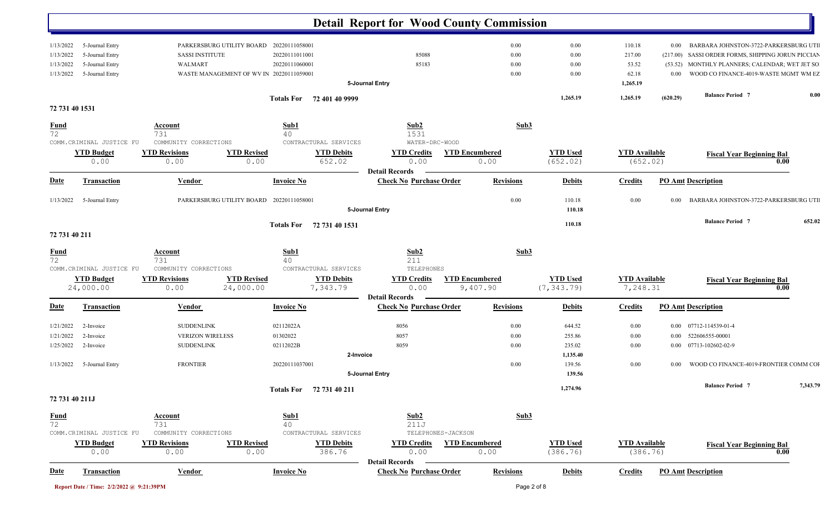|                                                  |                                                                          |                                                                   |                                          |                                                     | <b>Detail Report for Wood County Commission</b>         |                                   |                                |                                                |                                 |                                                                                                                                                                                |          |
|--------------------------------------------------|--------------------------------------------------------------------------|-------------------------------------------------------------------|------------------------------------------|-----------------------------------------------------|---------------------------------------------------------|-----------------------------------|--------------------------------|------------------------------------------------|---------------------------------|--------------------------------------------------------------------------------------------------------------------------------------------------------------------------------|----------|
| 1/13/2022<br>1/13/2022<br>1/13/2022<br>1/13/2022 | 5-Journal Entry<br>5-Journal Entry<br>5-Journal Entry<br>5-Journal Entry | PARKERSBURG UTILITY BOARD<br><b>SASSI INSTITUTE</b><br>WALMART    | WASTE MANAGEMENT OF WV IN 20220111059001 | 20220111058001<br>20220111011001<br>20220111060001  | 85088<br>85183<br>5-Journal Entry                       | 0.00<br>0.00<br>0.00<br>0.00      | 0.00<br>0.00<br>0.00<br>0.00   | 110.18<br>217.00<br>53.52<br>62.18<br>1,265.19 | $0.00\,$<br>(53.52)<br>$0.00\,$ | BARBARA JOHNSTON-3722-PARKERSBURG UTI<br>(217.00) SASSI ORDER FORMS, SHIPPING JORUN PICCIAN<br>MONTHLY PLANNERS; CALENDAR; WET JET SO<br>WOOD CO FINANCE-4019-WASTE MGMT WM EZ |          |
|                                                  |                                                                          |                                                                   |                                          |                                                     |                                                         |                                   | 1,265.19                       | 1,265.19                                       | (620.29)                        | <b>Balance Period</b> 7                                                                                                                                                        | 0.00     |
|                                                  | 72 731 40 1531                                                           |                                                                   |                                          | Totals For 72 401 40 9999                           |                                                         |                                   |                                |                                                |                                 |                                                                                                                                                                                |          |
| $\frac{Fund}{72}$                                | COMM. CRIMINAL JUSTICE FU                                                | Account<br>731<br>COMMUNITY CORRECTIONS                           |                                          | $\frac{\textbf{Sub1}}{40}$<br>CONTRACTURAL SERVICES | Sub2<br>1531<br>WATER-DRC-WOOD                          |                                   | Sub3                           |                                                |                                 |                                                                                                                                                                                |          |
|                                                  | <b>YTD Budget</b><br>0.00                                                | <b>YTD Revisions</b><br>0.00                                      | <b>YTD Revised</b><br>0.00               | <b>YTD Debits</b><br>652.02                         | <b>YTD Credits</b><br>0.00                              | <b>YTD Encumbered</b><br>0.00     | <b>YTD Used</b><br>(652.02)    | <b>YTD</b> Available<br>(652.02)               |                                 | <b>Fiscal Year Beginning Bal</b>                                                                                                                                               | 0.00     |
| <b>Date</b>                                      | <b>Transaction</b>                                                       | <b>Vendor</b>                                                     |                                          | <b>Invoice No</b>                                   | <b>Detail Records</b><br><b>Check No Purchase Order</b> | <b>Revisions</b>                  | <b>Debits</b>                  | <b>Credits</b>                                 |                                 | <b>PO Amt Description</b>                                                                                                                                                      |          |
|                                                  | 1/13/2022 5-Journal Entry                                                |                                                                   | PARKERSBURG UTILITY BOARD 20220111058001 |                                                     | 5-Journal Entry                                         | 0.00                              | 110.18<br>110.18               | $0.00\,$                                       | $0.00\,$                        | BARBARA JOHNSTON-3722-PARKERSBURG UTI                                                                                                                                          |          |
|                                                  | 72 731 40 211                                                            |                                                                   |                                          | Totals For 72 731 40 1531                           |                                                         |                                   | 110.18                         |                                                |                                 | <b>Balance Period 7</b>                                                                                                                                                        | 652.02   |
|                                                  |                                                                          |                                                                   |                                          |                                                     |                                                         |                                   |                                |                                                |                                 |                                                                                                                                                                                |          |
| <u>Fund</u><br>72                                | COMM.CRIMINAL JUSTICE FU                                                 | <b>Account</b><br>731<br>COMMUNITY CORRECTIONS                    |                                          | Sub1<br>40<br>CONTRACTURAL SERVICES                 | Sub2<br>211<br>TELEPHONES                               |                                   | Sub3                           |                                                |                                 |                                                                                                                                                                                |          |
|                                                  | <b>YTD Budget</b><br>24,000.00                                           | <b>YTD Revisions</b><br>0.00                                      | <b>YTD Revised</b><br>24,000.00          | <b>YTD Debits</b><br>7,343.79                       | <b>YTD Credits</b><br>0.00<br><b>Detail Records</b>     | <b>YTD Encumbered</b><br>9,407.90 | <b>YTD Used</b><br>(7, 343.79) | <b>YTD</b> Available<br>7,248.31               |                                 | <b>Fiscal Year Beginning Bal</b>                                                                                                                                               | 0.00     |
| <b>Date</b>                                      | Transaction                                                              | <b>Vendor</b>                                                     |                                          | <b>Invoice No</b>                                   | <b>Check No Purchase Order</b>                          | <b>Revisions</b>                  | <b>Debits</b>                  | <b>Credits</b>                                 |                                 | <b>PO Amt Description</b>                                                                                                                                                      |          |
| 1/21/2022<br>1/21/2022<br>1/25/2022              | 2-Invoice<br>2-Invoice<br>2-Invoice                                      | <b>SUDDENLINK</b><br><b>VERIZON WIRELESS</b><br><b>SUDDENLINK</b> |                                          | 02112022A<br>01302022<br>02112022B                  | 8056<br>8057<br>8059                                    | 0.00<br>0.00<br>0.00              | 644.52<br>255.86<br>235.02     | $0.00\,$<br>$0.00\,$<br>$0.00\,$               | $0.00\,$<br>$0.00\,$            | 07712-114539-01-4<br>522606555-00001<br>0.00 07713-102602-02-9                                                                                                                 |          |
|                                                  | 1/13/2022 5-Journal Entry                                                | <b>FRONTIER</b>                                                   |                                          | 20220111037001                                      | 2-Invoice<br>5-Journal Entry                            | 0.00                              | 1,135.40<br>139.56<br>139.56   | $0.00\,$                                       | 0.00                            | WOOD CO FINANCE-4019-FRONTIER COMM COI                                                                                                                                         |          |
|                                                  | 72 731 40 211J                                                           |                                                                   |                                          | Totals For 72 731 40 211                            |                                                         |                                   | 1,274.96                       |                                                |                                 | <b>Balance Period 7</b>                                                                                                                                                        | 7,343.79 |
| $\frac{Fund}{72}$                                | COMM.CRIMINAL JUSTICE FU                                                 | <b>Account</b><br>731<br>COMMUNITY CORRECTIONS                    |                                          | Sub1<br>40<br>CONTRACTURAL SERVICES                 | Sub2<br>211J                                            | TELEPHONES-JACKSON                | Sub3                           |                                                |                                 |                                                                                                                                                                                |          |
|                                                  | <b>YTD Budget</b><br>0.00                                                | <b>YTD Revisions</b><br>0.00                                      | <b>YTD Revised</b><br>0.00               | <b>YTD Debits</b><br>386.76                         | <b>YTD Credits</b><br>0.00<br><b>Detail Records</b>     | <b>YTD Encumbered</b><br>0.00     | <b>YTD Used</b><br>(386.76)    | <b>YTD</b> Available<br>(386.76)               |                                 | <b>Fiscal Year Beginning Bal</b>                                                                                                                                               | 0.00     |
| <b>Date</b>                                      | <b>Transaction</b>                                                       | <b>Vendor</b>                                                     |                                          | <b>Invoice No</b>                                   | <b>Check No Purchase Order</b>                          | <b>Revisions</b>                  | <b>Debits</b>                  | <b>Credits</b>                                 |                                 | <b>PO Amt Description</b>                                                                                                                                                      |          |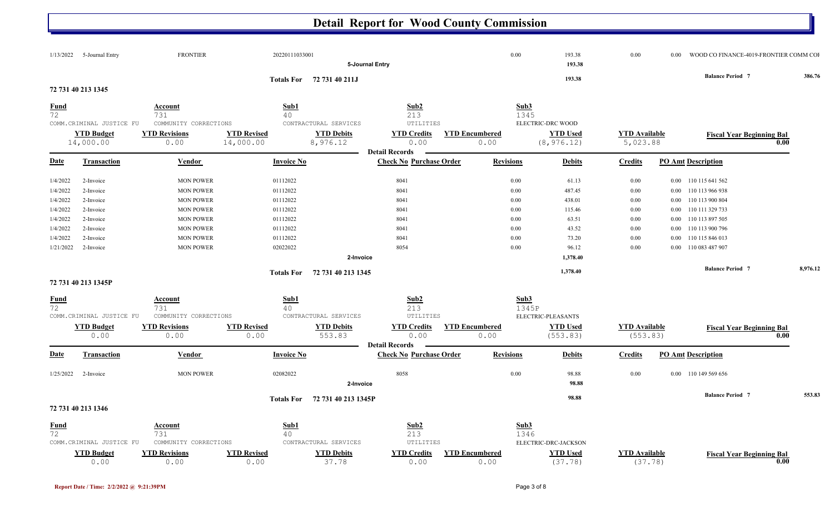|                   | $1/13/2022$ 5-Journal Entry    | <b>FRONTIER</b>              | 20220111033001                  |                                |                                |                               | 0.00             | 193.38                         | 0.00                             | 0.00 | WOOD CO FINANCE-4019-FRONTIER COMM COI   |          |
|-------------------|--------------------------------|------------------------------|---------------------------------|--------------------------------|--------------------------------|-------------------------------|------------------|--------------------------------|----------------------------------|------|------------------------------------------|----------|
|                   |                                |                              |                                 |                                | 5-Journal Entry                |                               |                  | 193.38                         |                                  |      |                                          |          |
|                   |                                |                              |                                 | Totals For 72 731 40 211J      |                                |                               |                  | 193.38                         |                                  |      | <b>Balance Period 7</b>                  | 386.76   |
|                   | 72 731 40 213 1345             |                              |                                 |                                |                                |                               |                  |                                |                                  |      |                                          |          |
|                   |                                |                              |                                 |                                |                                |                               |                  |                                |                                  |      |                                          |          |
| <u>Fund</u>       |                                | <b>Account</b>               | Sub1                            |                                | Sub2                           |                               | Sub3             |                                |                                  |      |                                          |          |
| 72                | COMM.CRIMINAL JUSTICE FU       | 731<br>COMMUNITY CORRECTIONS | 40                              | CONTRACTURAL SERVICES          | 213<br>UTILITIES               |                               | 1345             | ELECTRIC-DRC WOOD              |                                  |      |                                          |          |
|                   |                                |                              |                                 |                                |                                |                               |                  |                                |                                  |      |                                          |          |
|                   | <b>YTD Budget</b><br>14,000.00 | <b>YTD Revisions</b><br>0.00 | <b>YTD Revised</b><br>14,000.00 | <b>YTD Debits</b><br>8,976.12  | <b>YTD Credits</b><br>0.00     | <b>YTD Encumbered</b><br>0.00 |                  | <b>YTD Used</b><br>(8, 976.12) | <b>YTD</b> Available<br>5,023.88 |      | <b>Fiscal Year Beginning Bal</b><br>0.00 |          |
|                   |                                |                              |                                 |                                | <b>Detail Records</b>          |                               |                  |                                |                                  |      |                                          |          |
| <u>Date</u>       | Transaction                    | <b>Vendor</b>                | <b>Invoice No</b>               |                                | <b>Check No Purchase Order</b> |                               | <b>Revisions</b> | <b>Debits</b>                  | <b>Credits</b>                   |      | <b>PO Amt Description</b>                |          |
|                   |                                |                              |                                 |                                |                                |                               |                  |                                |                                  |      |                                          |          |
| 1/4/2022          | 2-Invoice                      | <b>MON POWER</b>             | 01112022                        |                                | 8041                           |                               | 0.00             | 61.13                          | 0.00                             |      | 0.00 110 115 641 562                     |          |
| 1/4/2022          | 2-Invoice                      | <b>MON POWER</b>             | 01112022                        |                                | 8041                           |                               | 0.00             | 487.45                         | 0.00                             |      | 0.00 110 113 966 938                     |          |
| 1/4/2022          | 2-Invoice                      | <b>MON POWER</b>             | 01112022                        |                                | 8041                           |                               | 0.00             | 438.01                         | 0.00                             |      | 0.00 110 113 900 804                     |          |
| 1/4/2022          | 2-Invoice                      | <b>MON POWER</b>             | 01112022                        |                                | 8041                           |                               | 0.00             | 115.46                         | 0.00                             |      | 0.00 110 111 329 733                     |          |
| 1/4/2022          | 2-Invoice                      | <b>MON POWER</b>             | 01112022                        |                                | 8041                           |                               | 0.00             | 63.51                          | 0.00                             |      | 0.00 110 113 897 505                     |          |
| 1/4/2022          | 2-Invoice                      | <b>MON POWER</b>             | 01112022                        |                                | 8041                           |                               | 0.00             | 43.52                          | 0.00                             |      | 0.00 110 113 900 796                     |          |
| 1/4/2022          | 2-Invoice                      | <b>MON POWER</b>             | 01112022                        |                                | 8041                           |                               | 0.00             | 73.20                          | 0.00                             |      | 0.00 110 115 846 013                     |          |
| 1/21/2022         | 2-Invoice                      | <b>MON POWER</b>             | 02022022                        |                                | 8054                           |                               | 0.00             | 96.12                          | 0.00                             |      | 0.00 110 083 487 907                     |          |
|                   |                                |                              |                                 | 2-Invoice                      |                                |                               |                  | 1,378.40                       |                                  |      |                                          |          |
|                   |                                |                              |                                 | Totals For 72 731 40 213 1345  |                                |                               |                  | 1,378.40                       |                                  |      | <b>Balance Period 7</b>                  | 8,976.12 |
|                   | 72 731 40 213 1345P            |                              |                                 |                                |                                |                               |                  |                                |                                  |      |                                          |          |
|                   |                                |                              |                                 |                                |                                |                               |                  |                                |                                  |      |                                          |          |
| $\frac{Fund}{72}$ |                                | <u>Account</u>               | Sub1                            |                                | Sub2                           |                               | Sub3             |                                |                                  |      |                                          |          |
|                   |                                | 731                          | 40                              |                                | 213                            |                               | 1345P            |                                |                                  |      |                                          |          |
|                   | COMM.CRIMINAL JUSTICE FU       | COMMUNITY CORRECTIONS        |                                 | CONTRACTURAL SERVICES          | UTILITIES                      |                               |                  | ELECTRIC-PLEASANTS             |                                  |      |                                          |          |
|                   | <b>YTD Budget</b><br>0.00      | <b>YTD Revisions</b><br>0.00 | <b>YTD Revised</b><br>0.00      | <b>YTD Debits</b><br>553.83    | <b>YTD Credits</b><br>0.00     | <b>YTD Encumbered</b><br>0.00 |                  | <b>YTD Used</b><br>(553.83)    | <b>YTD</b> Available<br>(553.83) |      | <b>Fiscal Year Beginning Bal</b><br>0.00 |          |
|                   |                                |                              |                                 |                                | <b>Detail Records</b>          |                               |                  |                                |                                  |      |                                          |          |
| <u>Date</u>       | Transaction                    | <b>Vendor</b>                | <b>Invoice No</b>               |                                | <b>Check No Purchase Order</b> |                               | <b>Revisions</b> | <b>Debits</b>                  | <b>Credits</b>                   |      | <b>PO Amt Description</b>                |          |
| 1/25/2022         | 2-Invoice                      | <b>MON POWER</b>             | 02082022                        |                                | 8058                           |                               | 0.00             | 98.88                          | 0.00                             |      | 0.00 110 149 569 656                     |          |
|                   |                                |                              |                                 | 2-Invoice                      |                                |                               |                  | 98.88                          |                                  |      |                                          |          |
|                   |                                |                              |                                 |                                |                                |                               |                  |                                |                                  |      |                                          |          |
|                   |                                |                              |                                 | Totals For 72 731 40 213 1345P |                                |                               |                  | 98.88                          |                                  |      | <b>Balance Period 7</b>                  | 553.83   |
|                   | 72 731 40 213 1346             |                              |                                 |                                |                                |                               |                  |                                |                                  |      |                                          |          |
| <b>Fund</b>       |                                | <b>Account</b>               | $\overline{\text{Sub1}}$        |                                | Sub2                           |                               | Sub3             |                                |                                  |      |                                          |          |
| $\overline{72}$   |                                | 731                          | 40                              |                                | 213                            |                               | 1346             |                                |                                  |      |                                          |          |
|                   | COMM. CRIMINAL JUSTICE FU      | COMMUNITY CORRECTIONS        |                                 | CONTRACTURAL SERVICES          | UTILITIES                      |                               |                  | ELECTRIC-DRC-JACKSON           |                                  |      |                                          |          |
|                   | <b>YTD Budget</b>              | <b>YTD Revisions</b>         | <b>YTD Revised</b>              | <b>YTD Debits</b>              | <b>YTD Credits</b>             | <b>YTD Encumbered</b>         |                  | <b>YTD Used</b>                | <b>YTD</b> Available             |      | <b>Fiscal Year Beginning Bal</b>         |          |
|                   | 0.00                           | 0.00                         | 0.00                            | 37.78                          | 0.00                           | 0.00                          |                  | (37.78)                        | (37.78)                          |      | 0.00                                     |          |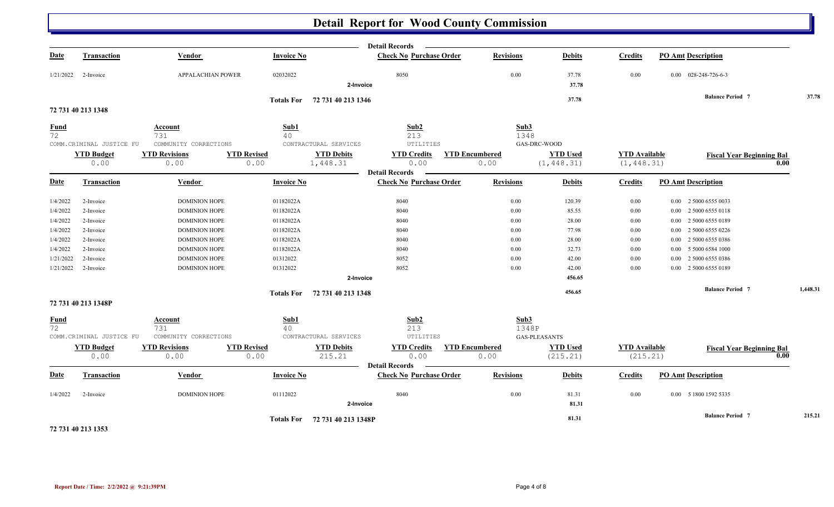|                   |                                               |                                               |                            |                                            | <b>Detail Records</b>                                   |                               |                                         |                                     |                                  |          |
|-------------------|-----------------------------------------------|-----------------------------------------------|----------------------------|--------------------------------------------|---------------------------------------------------------|-------------------------------|-----------------------------------------|-------------------------------------|----------------------------------|----------|
| <b>Date</b>       | <b>Transaction</b>                            | Vendor                                        | <b>Invoice No</b>          |                                            | <b>Check No Purchase Order</b>                          | <b>Revisions</b>              | <b>Debits</b>                           | <b>Credits</b>                      | <b>PO Amt Description</b>        |          |
| 1/21/2022         | 2-Invoice                                     | APPALACHIAN POWER                             | 02032022                   | 2-Invoice                                  | 8050                                                    | 0.00                          | 37.78<br>37.78                          | 0.00                                | 0.00 028-248-726-6-3             |          |
|                   |                                               |                                               |                            | Totals For 72 731 40 213 1346              |                                                         |                               | 37.78                                   |                                     | <b>Balance Period 7</b>          | 37.78    |
|                   | 72 731 40 213 1348                            |                                               |                            |                                            |                                                         |                               |                                         |                                     |                                  |          |
| <b>Fund</b><br>72 |                                               | Account<br>731                                | Sub1<br>40                 |                                            | Sub2<br>213                                             | Sub3<br>1348                  |                                         |                                     |                                  |          |
|                   | COMM.CRIMINAL JUSTICE FU                      | COMMUNITY CORRECTIONS                         |                            | CONTRACTURAL SERVICES                      | UTILITIES                                               |                               | GAS-DRC-WOOD                            |                                     |                                  |          |
|                   | <b>YTD Budget</b><br>0.00                     | <b>YTD Revisions</b><br>0.00                  | <b>YTD Revised</b><br>0.00 | <b>YTD Debits</b><br>1,448.31              | <b>YTD Credits</b><br>0.00                              | <b>YTD Encumbered</b><br>0.00 | <b>YTD Used</b><br>(1, 448.31)          | <b>YTD</b> Available<br>(1, 448.31) | <b>Fiscal Year Beginning Bal</b> | 0.00     |
| <b>Date</b>       | <b>Transaction</b>                            | Vendor                                        | <b>Invoice No</b>          |                                            | <b>Detail Records</b><br><b>Check No Purchase Order</b> | <b>Revisions</b>              | <b>Debits</b>                           | <b>Credits</b>                      | <b>PO Amt Description</b>        |          |
| 1/4/2022          | 2-Invoice                                     | <b>DOMINION HOPE</b>                          | 01182022A                  |                                            | 8040                                                    | 0.00                          | 120.39                                  | $0.00\,$                            | 0.00 2 5000 6555 0033            |          |
| 1/4/2022          | 2-Invoice                                     | <b>DOMINION HOPE</b>                          | 01182022A                  |                                            | 8040                                                    | 0.00                          | 85.55                                   | 0.00                                | 0.00 2 5000 6555 0118            |          |
| 1/4/2022          | 2-Invoice                                     | <b>DOMINION HOPE</b>                          | 01182022A                  |                                            | 8040                                                    | 0.00                          | 28.00                                   | $0.00\,$                            | 2 5000 6555 0189<br>$0.00\,$     |          |
| 1/4/2022          | 2-Invoice                                     | <b>DOMINION HOPE</b>                          | 01182022A                  |                                            | 8040                                                    | 0.00                          | 77.98                                   | 0.00                                | $0.00$ 2 5000 6555 0226          |          |
| 1/4/2022          | 2-Invoice                                     | <b>DOMINION HOPE</b>                          | 01182022A                  |                                            | 8040                                                    | 0.00                          | 28.00                                   | 0.00                                | 2 5000 6555 0386<br>$0.00\,$     |          |
| 1/4/2022          | 2-Invoice                                     | <b>DOMINION HOPE</b>                          | 01182022A                  |                                            | 8040                                                    | 0.00                          | 32.73                                   | 0.00                                | 0.00 5 5000 6584 1000            |          |
| 1/21/2022         | 2-Invoice                                     | <b>DOMINION HOPE</b>                          | 01312022                   |                                            | 8052                                                    | 0.00                          | 42.00                                   | 0.00                                | 2 5000 6555 0386<br>0.00         |          |
| 1/21/2022         | 2-Invoice                                     | <b>DOMINION HOPE</b>                          | 01312022                   |                                            | 8052                                                    | 0.00                          | 42.00                                   | 0.00                                | 2 5000 6555 0189<br>0.00         |          |
|                   |                                               |                                               |                            | 2-Invoice                                  |                                                         |                               | 456.65                                  |                                     |                                  |          |
|                   |                                               |                                               |                            | Totals For 72 731 40 213 1348              |                                                         |                               | 456.65                                  |                                     | <b>Balance Period 7</b>          | 1,448.31 |
|                   | 72 731 40 213 1348P                           |                                               |                            |                                            |                                                         |                               |                                         |                                     |                                  |          |
| <b>Fund</b><br>72 |                                               | Account<br>731                                | Sub1<br>40                 |                                            | Sub <sub>2</sub><br>213                                 | Sub3<br>1348P                 |                                         |                                     |                                  |          |
|                   | COMM.CRIMINAL JUSTICE FU<br><b>YTD Budget</b> | COMMUNITY CORRECTIONS<br><b>YTD Revisions</b> | <b>YTD Revised</b>         | CONTRACTURAL SERVICES<br><b>YTD Debits</b> | UTILITIES<br><b>YTD Credits</b>                         | <b>YTD Encumbered</b>         | <b>GAS-PLEASANTS</b><br><b>YTD Used</b> | <b>YTD</b> Available                |                                  |          |
|                   | 0.00                                          | 0.00                                          | 0.00                       | 215.21                                     | 0.00<br><b>Detail Records</b>                           | 0.00                          | (215.21)                                | (215.21)                            | <b>Fiscal Year Beginning Bal</b> | 0.00     |
| <b>Date</b>       | <b>Transaction</b>                            | Vendor                                        | <b>Invoice No</b>          |                                            | <b>Check No Purchase Order</b>                          | <b>Revisions</b>              | <b>Debits</b>                           | <b>Credits</b>                      | <b>PO Amt Description</b>        |          |
| 1/4/2022          | 2-Invoice                                     | <b>DOMINION HOPE</b>                          | 01112022                   | 2-Invoice                                  | 8040                                                    | 0.00                          | 81.31<br>81.31                          | 0.00                                | 0.00 5 1800 1592 5335            |          |
|                   |                                               |                                               |                            | Totals For 72 731 40 213 1348P             |                                                         |                               | 81.31                                   |                                     | <b>Balance Period 7</b>          | 215.21   |

**72 731 40 213 1353**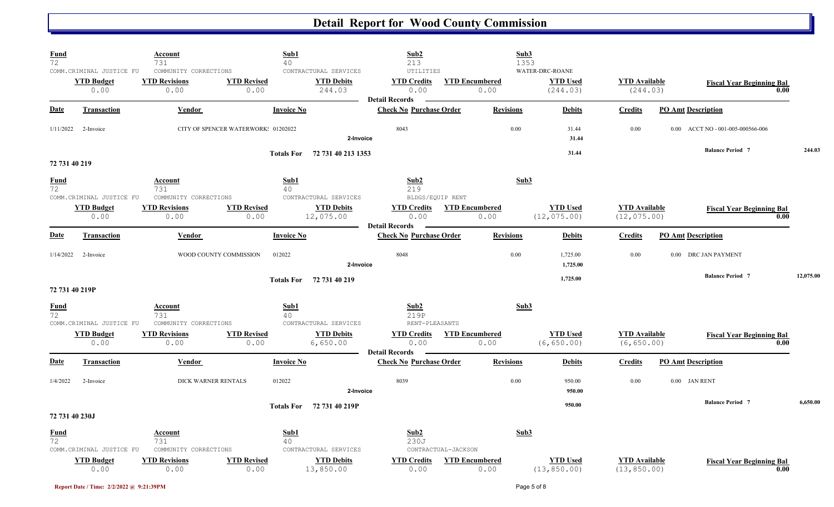| <b>Fund</b><br>72              |                                                        | <b>Account</b><br>731                                 | Sub1<br>40                          |                                                      | Sub2<br>213                                             |                                           | Sub3<br>1353                                   |                      |                                      |                           |                                                        |      |           |
|--------------------------------|--------------------------------------------------------|-------------------------------------------------------|-------------------------------------|------------------------------------------------------|---------------------------------------------------------|-------------------------------------------|------------------------------------------------|----------------------|--------------------------------------|---------------------------|--------------------------------------------------------|------|-----------|
|                                | COMM. CRIMINAL JUSTICE FU<br><b>YTD Budget</b><br>0.00 | COMMUNITY CORRECTIONS<br><b>YTD Revisions</b><br>0.00 | <b>YTD Revised</b><br>0.00          | CONTRACTURAL SERVICES<br><b>YTD Debits</b><br>244.03 | UTILITIES<br><b>YTD Credits</b><br>0.00                 | <b>YTD Encumbered</b><br>0.00             | WATER-DRC-ROANE<br><b>YTD Used</b><br>(244.03) |                      | <b>YTD Available</b><br>(244.03)     |                           | <b>Fiscal Year Beginning Bal</b>                       | 0.00 |           |
| <b>Date</b>                    | <b>Transaction</b>                                     | Vendor                                                | <b>Invoice No</b>                   |                                                      | <b>Detail Records</b><br><b>Check No Purchase Order</b> |                                           | <b>Revisions</b>                               | <b>Debits</b>        | <b>Credits</b>                       | <b>PO Amt Description</b> |                                                        |      |           |
|                                | $1/11/2022$ 2-Invoice                                  |                                                       | CITY OF SPENCER WATERWORK: 01202022 | 2-Invoice                                            | 8043                                                    |                                           | 0.00                                           | 31.44<br>31.44       | 0.00                                 |                           | $0.00 \quad \  \  \text{ACCT NO - 001-005-000566-006}$ |      |           |
| 72 731 40 219                  |                                                        |                                                       |                                     | Totals For 72 731 40 213 1353                        |                                                         |                                           |                                                | 31.44                |                                      |                           | <b>Balance Period 7</b>                                |      | 244.03    |
| <b>Fund</b><br>72              | COMM.CRIMINAL JUSTICE FU                               | <b>Account</b><br>731<br>COMMUNITY CORRECTIONS        | Sub1<br>40                          | CONTRACTURAL SERVICES                                | Sub2<br>219<br>BLDGS/EQUIP RENT                         |                                           | Sub3                                           |                      |                                      |                           |                                                        |      |           |
|                                | <b>YTD Budget</b><br>0.00                              | <b>YTD Revisions</b><br>0.00                          | <b>YTD Revised</b><br>0.00          | <b>YTD Debits</b><br>12,075.00                       | 0.00<br><b>Detail Records</b>                           | <b>YTD Credits YTD Encumbered</b><br>0.00 | <b>YTD Used</b><br>(12, 075.00)                |                      | <b>YTD Available</b><br>(12, 075.00) |                           | <b>Fiscal Year Beginning Bal</b>                       | 0.00 |           |
| <b>Date</b>                    | <b>Transaction</b>                                     | Vendor                                                | <b>Invoice No</b>                   |                                                      | <b>Check No Purchase Order</b>                          |                                           | <b>Revisions</b>                               | <b>Debits</b>        | <b>Credits</b>                       | <b>PO Amt Description</b> |                                                        |      |           |
|                                | $1/14/2022$ 2-Invoice                                  | WOOD COUNTY COMMISSION                                | 012022                              | 2-Invoice                                            | 8048                                                    |                                           | 0.00                                           | 1,725.00<br>1,725.00 | 0.00                                 |                           | 0.00 DRC JAN PAYMENT                                   |      |           |
| 72 731 40 219P                 |                                                        |                                                       |                                     | Totals For 72 731 40 219                             |                                                         |                                           |                                                | 1,725.00             |                                      |                           | <b>Balance Period 7</b>                                |      | 12,075.00 |
| <b>Fund</b><br>$\overline{72}$ | COMM.CRIMINAL JUSTICE FU                               | Account<br>731<br>COMMUNITY CORRECTIONS               | Sub1<br>40                          | CONTRACTURAL SERVICES                                | Sub2<br>219P<br>RENT-PLEASANTS                          |                                           | Sub3                                           |                      |                                      |                           |                                                        |      |           |
|                                | <b>YTD Budget</b><br>0.00                              | <b>YTD Revisions</b><br>0.00                          | <b>YTD Revised</b><br>0.00          | <b>YTD Debits</b><br>6,650.00                        | <b>YTD Credits</b><br>0.00<br><b>Detail Records</b>     | <b>YTD Encumbered</b><br>0.00             | <b>YTD Used</b><br>(6, 650.00)                 |                      | <b>YTD Available</b><br>(6, 650.00)  |                           | <b>Fiscal Year Beginning Bal</b>                       | 0.00 |           |
| <b>Date</b>                    | <b>Transaction</b>                                     | Vendor                                                | <b>Invoice No</b>                   |                                                      | <b>Check No Purchase Order</b>                          |                                           | <b>Revisions</b>                               | <b>Debits</b>        | <b>Credits</b>                       | <b>PO Amt Description</b> |                                                        |      |           |
| 1/4/2022                       | 2-Invoice                                              | DICK WARNER RENTALS                                   | 012022                              | 2-Invoice                                            | 8039                                                    |                                           | 0.00                                           | 950.00<br>950.00     | 0.00                                 | 0.00 JAN RENT             |                                                        |      |           |
| 72 731 40 230J                 |                                                        |                                                       |                                     | Totals For 72 731 40 219P                            |                                                         |                                           |                                                | 950.00               |                                      |                           | <b>Balance Period 7</b>                                |      | 6,650.00  |
| <b>Fund</b><br>72              | COMM. CRIMINAL JUSTICE FU                              | Account<br>731<br>COMMUNITY CORRECTIONS               | Sub1<br>40                          | CONTRACTURAL SERVICES                                | Sub2<br>230J                                            | CONTRACTUAL-JACKSON                       | Sub3                                           |                      |                                      |                           |                                                        |      |           |
|                                | <b>YTD</b> Budget<br>0.00                              | <b>YTD Revisions</b><br>0.00                          | <b>YTD Revised</b><br>0.00          | <b>YTD Debits</b><br>13,850.00                       | <b>YTD Credits</b><br>0.00                              | <b>YTD Encumbered</b><br>0.00             | <b>YTD Used</b><br>(13, 850.00)                |                      | <b>YTD Available</b><br>(13, 850.00) |                           | <b>Fiscal Year Beginning Bal</b>                       | 0.00 |           |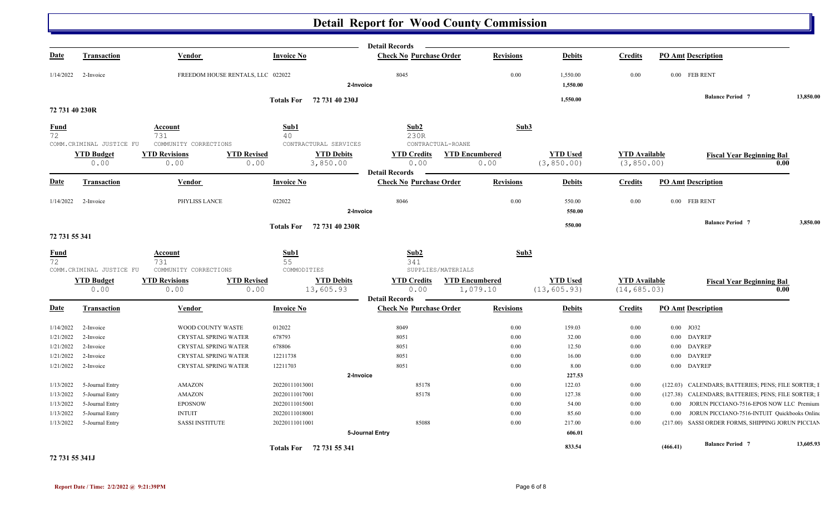|                   |                           |                                   |                                                             | <b>Detail Records</b>                                     |                               |                                |                                     |             |                                                     |           |
|-------------------|---------------------------|-----------------------------------|-------------------------------------------------------------|-----------------------------------------------------------|-------------------------------|--------------------------------|-------------------------------------|-------------|-----------------------------------------------------|-----------|
| <b>Date</b>       | <b>Transaction</b>        | Vendor                            | <b>Invoice No</b>                                           | <b>Check No Purchase Order</b>                            | <b>Revisions</b>              | <b>Debits</b>                  | <b>Credits</b>                      |             | <b>PO Amt Description</b>                           |           |
|                   | $1/14/2022$ 2-Invoice     | FREEDOM HOUSE RENTALS, LLC 022022 |                                                             | 8045                                                      | 0.00                          | 1,550.00                       | 0.00                                |             | 0.00 FEB RENT                                       |           |
|                   |                           |                                   |                                                             | 2-Invoice                                                 |                               | 1,550.00                       |                                     |             |                                                     |           |
| 72 731 40 230R    |                           |                                   | Totals For 72 731 40 230J                                   |                                                           |                               | 1,550.00                       |                                     |             | <b>Balance Period 7</b>                             | 13,850.00 |
|                   |                           |                                   |                                                             |                                                           |                               |                                |                                     |             |                                                     |           |
| <b>Fund</b><br>72 |                           | <b>Account</b><br>731             | Sub1<br>40                                                  | Sub2<br>230R                                              | Sub3                          |                                |                                     |             |                                                     |           |
|                   | COMM.CRIMINAL JUSTICE FU  | COMMUNITY CORRECTIONS             | CONTRACTURAL SERVICES                                       | CONTRACTUAL-ROANE                                         |                               |                                |                                     |             |                                                     |           |
|                   | <b>YTD Budget</b><br>0.00 | <b>YTD Revisions</b><br>0.00      | <b>YTD Revised</b><br><b>YTD Debits</b><br>0.00<br>3,850.00 | <b>YTD Credits</b><br>0.00<br><b>Detail Records</b>       | <b>YTD Encumbered</b><br>0.00 | <b>YTD Used</b><br>(3, 850.00) | <b>YTD</b> Available<br>(3, 850.00) |             | <b>Fiscal Year Beginning Bal</b><br>0.00            |           |
| <b>Date</b>       | <b>Transaction</b>        | <b>Vendor</b>                     | <b>Invoice No</b>                                           | <b>Check No Purchase Order</b>                            | <b>Revisions</b>              | <b>Debits</b>                  | <b>Credits</b>                      |             | <b>PO Amt Description</b>                           |           |
|                   | $1/14/2022$ 2-Invoice     | PHYLISS LANCE                     | 022022                                                      | 8046<br>2-Invoice                                         | 0.00                          | 550.00<br>550.00               | 0.00                                |             | 0.00 FEB RENT                                       |           |
|                   |                           |                                   |                                                             |                                                           |                               | 550.00                         |                                     |             | <b>Balance Period 7</b>                             | 3,850.00  |
| 72 731 55 341     |                           |                                   | Totals For 72 731 40 230R                                   |                                                           |                               |                                |                                     |             |                                                     |           |
| $\frac{Fund}{72}$ |                           | Account<br>731                    | Sub1<br>55                                                  | Sub2<br>341                                               | Sub3                          |                                |                                     |             |                                                     |           |
|                   | COMM.CRIMINAL JUSTICE FU  | COMMUNITY CORRECTIONS             | COMMODITIES                                                 | SUPPLIES/MATERIALS                                        |                               |                                |                                     |             |                                                     |           |
|                   | <b>YTD Budget</b>         | <b>YTD Revisions</b>              | <b>YTD Revised</b><br><b>YTD Debits</b>                     | <b>YTD Credits</b>                                        | <b>YTD Encumbered</b>         | <b>YTD Used</b>                | <b>YTD</b> Available                |             | <b>Fiscal Year Beginning Bal</b>                    |           |
|                   | 0.00                      | 0.00                              | 0.00<br>13,605.93                                           | 0.00<br><b>Detail Records</b><br>$\overline{\phantom{a}}$ | 1,079.10                      | (13, 605.93)                   | (14, 685.03)                        |             | 0.00                                                |           |
| <b>Date</b>       | <b>Transaction</b>        | Vendor                            | <b>Invoice No</b>                                           | <b>Check No Purchase Order</b>                            | <b>Revisions</b>              | <b>Debits</b>                  | <b>Credits</b>                      |             | <b>PO Amt Description</b>                           |           |
| 1/14/2022         | 2-Invoice                 | WOOD COUNTY WASTE                 | 012022                                                      | 8049                                                      | 0.00                          | 159.03                         | 0.00                                | $0.00$ JO32 |                                                     |           |
| 1/21/2022         | 2-Invoice                 | CRYSTAL SPRING WATER              | 678793                                                      | 8051                                                      | 0.00                          | 32.00                          | 0.00                                |             | 0.00 DAYREP                                         |           |
| 1/21/2022         | 2-Invoice                 | CRYSTAL SPRING WATER              | 678806                                                      | 8051                                                      | 0.00                          | 12.50                          | 0.00                                |             | 0.00 DAYREP                                         |           |
| 1/21/2022         | 2-Invoice                 | CRYSTAL SPRING WATER              | 12211738                                                    | 8051                                                      | 0.00                          | 16.00                          | 0.00                                |             | 0.00 DAYREP                                         |           |
| 1/21/2022         | 2-Invoice                 | CRYSTAL SPRING WATER              | 12211703                                                    | 8051                                                      | 0.00                          | 8.00                           | 0.00                                |             | 0.00 DAYREP                                         |           |
|                   |                           |                                   |                                                             | 2-Invoice                                                 |                               | 227.53                         |                                     |             |                                                     |           |
| 1/13/2022         | 5-Journal Entry           | <b>AMAZON</b>                     | 20220111013001                                              | 85178                                                     | 0.00                          | 122.03                         | 0.00                                |             | (122.03) CALENDARS; BATTERIES; PENS; FILE SORTER; I |           |
| 1/13/2022         | 5-Journal Entry           | <b>AMAZON</b>                     | 20220111017001                                              | 85178                                                     | 0.00                          | 127.38                         | 0.00                                |             | (127.38) CALENDARS; BATTERIES; PENS; FILE SORTER; I |           |
| 1/13/2022         | 5-Journal Entry           | <b>EPOSNOW</b>                    | 20220111015001                                              |                                                           | 0.00                          | 54.00                          | 0.00                                | $0.00\,$    | JORUN PICCIANO-7516-EPOS NOW LLC Premium            |           |
| 1/13/2022         | 5-Journal Entry           | <b>INTUIT</b>                     | 20220111018001                                              |                                                           | 0.00                          | 85.60                          | 0.00                                | $0.00\,$    | JORUN PICCIANO-7516-INTUIT Quickbooks Online        |           |
|                   | 1/13/2022 5-Journal Entry | <b>SASSI INSTITUTE</b>            | 20220111011001                                              | 85088                                                     | 0.00                          | 217.00                         | 0.00                                |             | (217.00) SASSI ORDER FORMS, SHIPPING JORUN PICCIAN  |           |
|                   |                           |                                   |                                                             | 5-Journal Entry                                           |                               | 606.01                         |                                     |             |                                                     |           |
|                   |                           |                                   | Totals For 72 731 55 341                                    |                                                           |                               | 833.54                         |                                     | (466.41)    | <b>Balance Period 7</b>                             | 13,605.93 |

**72 731 55 341J**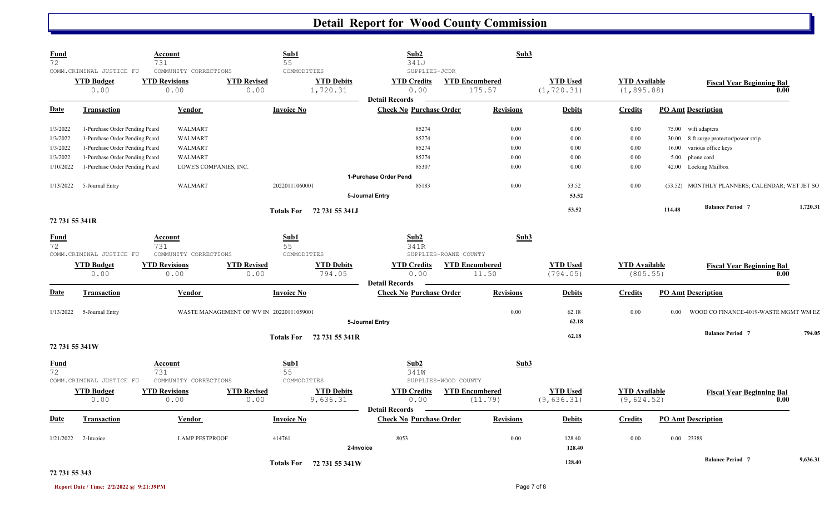| <b>Fund</b><br>72 |                                                       | Account<br>731                                        |                                          | Sub1<br>55                                   | Sub2<br>341J                                            |                                 | Sub3             |                                |                                     |        |                                                |          |
|-------------------|-------------------------------------------------------|-------------------------------------------------------|------------------------------------------|----------------------------------------------|---------------------------------------------------------|---------------------------------|------------------|--------------------------------|-------------------------------------|--------|------------------------------------------------|----------|
|                   | COMM.CRIMINAL JUSTICE FU<br><b>YTD Budget</b><br>0.00 | COMMUNITY CORRECTIONS<br><b>YTD Revisions</b><br>0.00 | <b>YTD Revised</b><br>0.00               | COMMODITIES<br><b>YTD Debits</b><br>1,720.31 | SUPPLIES-JCDR<br><b>YTD Credits</b><br>0.00             | <b>YTD Encumbered</b><br>175.57 |                  | <b>YTD Used</b><br>(1, 720.31) | <b>YTD Available</b><br>(1, 895.88) |        | <b>Fiscal Year Beginning Bal</b>               | 0.00     |
| <b>Date</b>       | <b>Transaction</b>                                    | Vendor                                                |                                          | <b>Invoice No</b>                            | <b>Detail Records</b><br><b>Check No Purchase Order</b> |                                 | <b>Revisions</b> | <b>Debits</b>                  | <b>Credits</b>                      |        | <b>PO Amt Description</b>                      |          |
| 1/3/2022          | 1-Purchase Order Pending Pcard                        | <b>WALMART</b>                                        |                                          |                                              | 85274                                                   |                                 | 0.00             | 0.00                           | 0.00                                |        | 75.00 wifi adapters                            |          |
| 1/3/2022          | 1-Purchase Order Pending Pcard                        | WALMART                                               |                                          |                                              | 85274                                                   |                                 | 0.00             | 0.00                           | $0.00\,$                            |        | 30.00 8 ft surge protector/power strip         |          |
| 1/3/2022          | 1-Purchase Order Pending Pcard                        | <b>WALMART</b>                                        |                                          |                                              | 85274                                                   |                                 | 0.00             | 0.00                           | 0.00                                | 16.00  | various office keys                            |          |
| 1/3/2022          | 1-Purchase Order Pending Pcard                        | <b>WALMART</b>                                        |                                          |                                              | 85274                                                   |                                 | 0.00             | 0.00                           | 0.00                                | 5.00   | phone cord                                     |          |
| 1/10/2022         | 1-Purchase Order Pending Pcard                        |                                                       | LOWE'S COMPANIES, INC.                   |                                              | 85307                                                   |                                 | 0.00             | 0.00                           | 0.00                                |        | 42.00 Locking Mailbox                          |          |
|                   |                                                       |                                                       |                                          |                                              | 1-Purchase Order Pend                                   |                                 |                  |                                |                                     |        |                                                |          |
| 1/13/2022         | 5-Journal Entry                                       | WALMART                                               |                                          | 20220111060001                               | 85183                                                   |                                 | 0.00             | 53.52                          | 0.00                                |        | (53.52) MONTHLY PLANNERS; CALENDAR; WET JET SO |          |
|                   |                                                       |                                                       |                                          |                                              | 5-Journal Entry                                         |                                 |                  | 53.52                          |                                     |        |                                                |          |
|                   |                                                       |                                                       |                                          |                                              |                                                         |                                 |                  | 53.52                          |                                     | 114.48 | <b>Balance Period 7</b>                        | 1,720.31 |
|                   |                                                       |                                                       |                                          | Totals For 72 731 55 341J                    |                                                         |                                 |                  |                                |                                     |        |                                                |          |
| 72 731 55 341R    |                                                       |                                                       |                                          |                                              |                                                         |                                 |                  |                                |                                     |        |                                                |          |
| <b>Fund</b>       |                                                       | Account                                               |                                          | Sub1                                         | Sub2                                                    |                                 | Sub3             |                                |                                     |        |                                                |          |
| 72                |                                                       | 731                                                   |                                          | 55                                           | 341R                                                    |                                 |                  |                                |                                     |        |                                                |          |
|                   | COMM. CRIMINAL JUSTICE FU                             | COMMUNITY CORRECTIONS                                 |                                          | COMMODITIES                                  |                                                         | SUPPLIES-ROANE COUNTY           |                  |                                |                                     |        |                                                |          |
|                   | <b>YTD Budget</b>                                     | <b>YTD Revisions</b>                                  | <b>YTD Revised</b>                       | <b>YTD Debits</b>                            | <b>YTD Credits</b>                                      | <b>YTD Encumbered</b>           |                  | <b>YTD Used</b>                | <b>YTD</b> Available                |        | <b>Fiscal Year Beginning Bal</b>               |          |
|                   | 0.00                                                  | 0.00                                                  | 0.00                                     | 794.05                                       | 0.00                                                    | 11.50                           |                  | (794.05)                       | (805.55)                            |        |                                                | 0.00     |
|                   |                                                       |                                                       |                                          |                                              | <b>Detail Records</b>                                   |                                 |                  |                                |                                     |        |                                                |          |
| <b>Date</b>       | <b>Transaction</b>                                    | <b>Vendor</b>                                         |                                          | <b>Invoice No</b>                            | <b>Check No Purchase Order</b>                          |                                 | <b>Revisions</b> | <b>Debits</b>                  | <b>Credits</b>                      |        | <b>PO Amt Description</b>                      |          |
|                   | $1/13/2022$ 5-Journal Entry                           |                                                       | WASTE MANAGEMENT OF WV IN 20220111059001 |                                              |                                                         |                                 | 0.00             | 62.18                          | 0.00                                | 0.00   | WOOD CO FINANCE-4019-WASTE MGMT WM EZ          |          |
|                   |                                                       |                                                       |                                          |                                              | 5-Journal Entry                                         |                                 |                  | 62.18                          |                                     |        |                                                |          |
|                   |                                                       |                                                       |                                          |                                              |                                                         |                                 |                  | 62.18                          |                                     |        | <b>Balance Period 7</b>                        | 794.05   |
| 72 731 55 341W    |                                                       |                                                       |                                          | Totals For 72 731 55 341R                    |                                                         |                                 |                  |                                |                                     |        |                                                |          |
| <b>Fund</b>       |                                                       | Account                                               |                                          | Sub1                                         | Sub2                                                    |                                 | Sub3             |                                |                                     |        |                                                |          |
| 72                |                                                       | 731                                                   |                                          | 55                                           | 341W                                                    |                                 |                  |                                |                                     |        |                                                |          |
|                   | COMM. CRIMINAL JUSTICE FU                             | COMMUNITY CORRECTIONS                                 |                                          | COMMODITIES                                  |                                                         | SUPPLIES-WOOD COUNTY            |                  |                                |                                     |        |                                                |          |
|                   | <b>YTD Budget</b>                                     | <b>YTD Revisions</b>                                  | <b>YTD Revised</b>                       | <b>YTD Debits</b>                            | <b>YTD Credits</b>                                      | <b>YTD Encumbered</b>           |                  | <b>YTD Used</b>                | <b>YTD</b> Available                |        | <b>Fiscal Year Beginning Bal</b>               |          |
|                   | 0.00                                                  | 0.00                                                  | 0.00                                     | 9,636.31                                     | 0.00                                                    | (11.79)                         |                  | (9,636.31)                     | (9,624.52)                          |        |                                                | 0.00     |
|                   |                                                       |                                                       |                                          |                                              | <b>Detail Records</b>                                   |                                 |                  |                                |                                     |        |                                                |          |
| <b>Date</b>       | <b>Transaction</b>                                    | <b>Vendor</b>                                         |                                          | <b>Invoice No</b>                            | <b>Check No Purchase Order</b>                          |                                 | <b>Revisions</b> | <b>Debits</b>                  | <b>Credits</b>                      |        | <b>PO Amt Description</b>                      |          |
|                   |                                                       |                                                       |                                          |                                              | 8053                                                    |                                 |                  |                                |                                     |        |                                                |          |
| 1/21/2022         | 2-Invoice                                             | <b>LAMP PESTPROOF</b>                                 |                                          | 414761                                       |                                                         |                                 | 0.00             | 128.40                         | 0.00                                |        | 0.00 23389                                     |          |
|                   |                                                       |                                                       |                                          |                                              | 2-Invoice                                               |                                 |                  | 128.40                         |                                     |        |                                                |          |
|                   |                                                       |                                                       |                                          | Totals For 72 731 55 341W                    |                                                         |                                 |                  | 128.40                         |                                     |        | <b>Balance Period 7</b>                        | 9,636.31 |
|                   |                                                       |                                                       |                                          |                                              |                                                         |                                 |                  |                                |                                     |        |                                                |          |

#### **72 731 55 343**